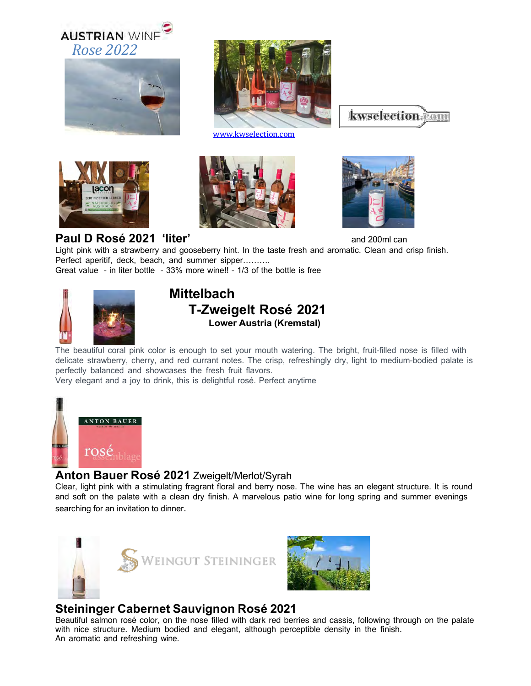







www.kwselection.com







#### **Paul D Rosé 2021 'liter'** and 200ml can

Light pink with a strawberry and gooseberry hint. In the taste fresh and aromatic. Clean and crisp finish. Perfect aperitif, deck, beach, and summer sipper………. Great value - in liter bottle - 33% more wine!! - 1/3 of the bottle is free



## **Mittelbach T-Zweigelt Rosé 2021 Lower Austria (Kremstal)**

The beautiful coral pink color is enough to set your mouth watering. The bright, fruit-filled nose is filled with delicate strawberry, cherry, and red currant notes. The crisp, refreshingly dry, light to medium-bodied palate is perfectly balanced and showcases the fresh fruit flavors.

Very elegant and a joy to drink, this is delightful rosé. Perfect anytime



### **Anton Bauer Rosé 2021** Zweigelt/Merlot/Syrah

Clear, light pink with a stimulating fragrant floral and berry nose. The wine has an elegant structure. It is round and soft on the palate with a clean dry finish. A marvelous patio wine for long spring and summer evenings searching for an invitation to dinner.





### **Steininger Cabernet Sauvignon Rosé 2021**

Beautiful salmon rosé color, on the nose filled with dark red berries and cassis, following through on the palate with nice structure. Medium bodied and elegant, although perceptible density in the finish. An aromatic and refreshing wine.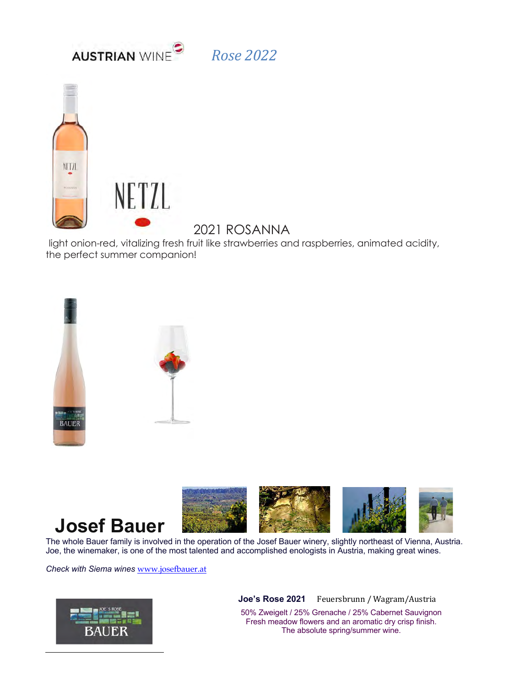



# 2021 ROSANNA

light onion-red, vitalizing fresh fruit like strawberries and raspberries, animated acidity, the perfect summer companion!





Joe, the winemaker, is one of the most talented and accomplished enologists in Austria, making great wines.

*Check with Siema wines* www.josefbauer.at



**Joe's Rose 2021** Feuersbrunn / Wagram/Austria

50% Zweigelt / 25% Grenache / 25% Cabernet Sauvignon Fresh meadow flowers and an aromatic dry crisp finish. The absolute spring/summer wine.